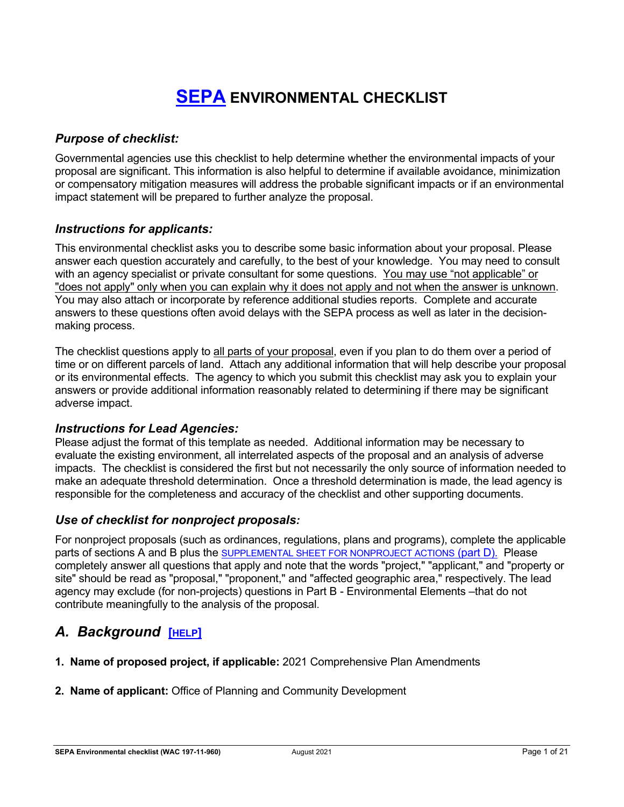# **[SEPA](https://ecology.wa.gov/regulations-permits/SEPA-environmental-review) ENVIRONMENTAL CHECKLIST**

## *Purpose of checklist:*

Governmental agencies use this checklist to help determine whether the environmental impacts of your proposal are significant. This information is also helpful to determine if available avoidance, minimization or compensatory mitigation measures will address the probable significant impacts or if an environmental impact statement will be prepared to further analyze the proposal.

## *Instructions for applicants:*

This environmental checklist asks you to describe some basic information about your proposal. Please answer each question accurately and carefully, to the best of your knowledge. You may need to consult with an agency specialist or private consultant for some questions. You may use "not applicable" or "does not apply" only when you can explain why it does not apply and not when the answer is unknown. You may also attach or incorporate by reference additional studies reports. Complete and accurate answers to these questions often avoid delays with the SEPA process as well as later in the decisionmaking process.

The checklist questions apply to all parts of your proposal, even if you plan to do them over a period of time or on different parcels of land. Attach any additional information that will help describe your proposal or its environmental effects. The agency to which you submit this checklist may ask you to explain your answers or provide additional information reasonably related to determining if there may be significant adverse impact.

## *Instructions for Lead Agencies:*

Please adjust the format of this template as needed. Additional information may be necessary to evaluate the existing environment, all interrelated aspects of the proposal and an analysis of adverse impacts. The checklist is considered the first but not necessarily the only source of information needed to make an adequate threshold determination. Once a threshold determination is made, the lead agency is responsible for the completeness and accuracy of the checklist and other supporting documents.

## *Use of checklist for nonproject proposals:*

For nonproject proposals (such as ordinances, regulations, plans and programs), complete the applicable parts of sections A and B plus the [SUPPLEMENTAL SHEET FOR NONPROJECT ACTIONS](#page-17-0) (part D). Please completely answer all questions that apply and note that the words "project," "applicant," and "property or site" should be read as "proposal," "proponent," and "affected geographic area," respectively. The lead agency may exclude (for non-projects) questions in Part B - Environmental Elements –that do not contribute meaningfully to the analysis of the proposal.

## *A. Background* **[\[HELP\]](https://ecology.wa.gov/Regulations-Permits/SEPA/Environmental-review/SEPA-guidance/SEPA-checklist-guidance/SEPA-Checklist-Section-A-Background)**

- **1. Name of proposed project, if applicable:** 2021 Comprehensive Plan Amendments
- **2. Name of applicant:** Office of Planning and Community Development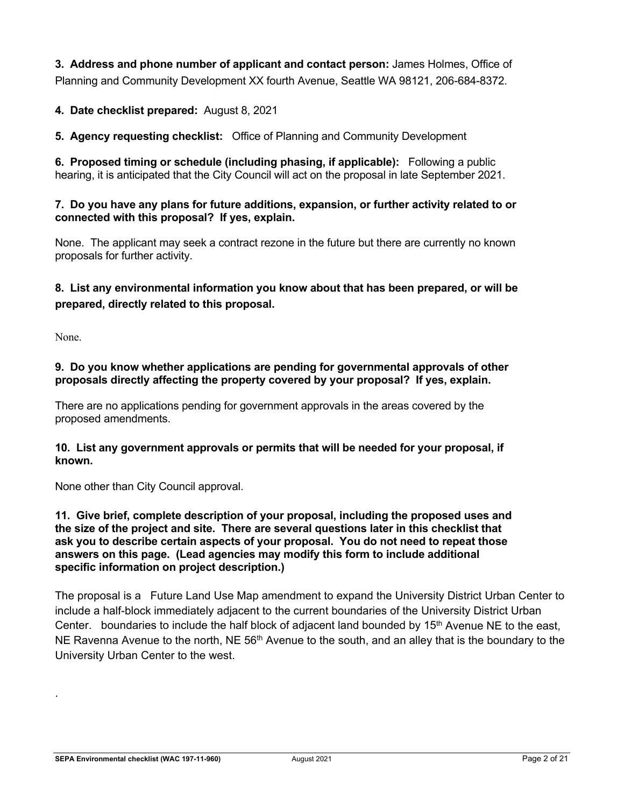**3. Address and phone number of applicant and contact person:** James Holmes, Office of Planning and Community Development XX fourth Avenue, Seattle WA 98121, 206-684-8372.

## **4. Date checklist prepared:** August 8, 2021

**5. Agency requesting checklist:** Office of Planning and Community Development

**6. Proposed timing or schedule (including phasing, if applicable):** Following a public hearing, it is anticipated that the City Council will act on the proposal in late September 2021.

#### **7. Do you have any plans for future additions, expansion, or further activity related to or connected with this proposal? If yes, explain.**

None. The applicant may seek a contract rezone in the future but there are currently no known proposals for further activity.

## **8. List any environmental information you know about that has been prepared, or will be prepared, directly related to this proposal.**

None.

.

#### **9. Do you know whether applications are pending for governmental approvals of other proposals directly affecting the property covered by your proposal? If yes, explain.**

There are no applications pending for government approvals in the areas covered by the proposed amendments.

#### **10. List any government approvals or permits that will be needed for your proposal, if known.**

None other than City Council approval.

#### **11. Give brief, complete description of your proposal, including the proposed uses and the size of the project and site. There are several questions later in this checklist that ask you to describe certain aspects of your proposal. You do not need to repeat those answers on this page. (Lead agencies may modify this form to include additional specific information on project description.)**

The proposal is a Future Land Use Map amendment to expand the University District Urban Center to include a half-block immediately adjacent to the current boundaries of the University District Urban Center. boundaries to include the half block of adjacent land bounded by  $15<sup>th</sup>$  Avenue NE to the east, NE Ravenna Avenue to the north, NE  $56<sup>th</sup>$  Avenue to the south, and an alley that is the boundary to the University Urban Center to the west.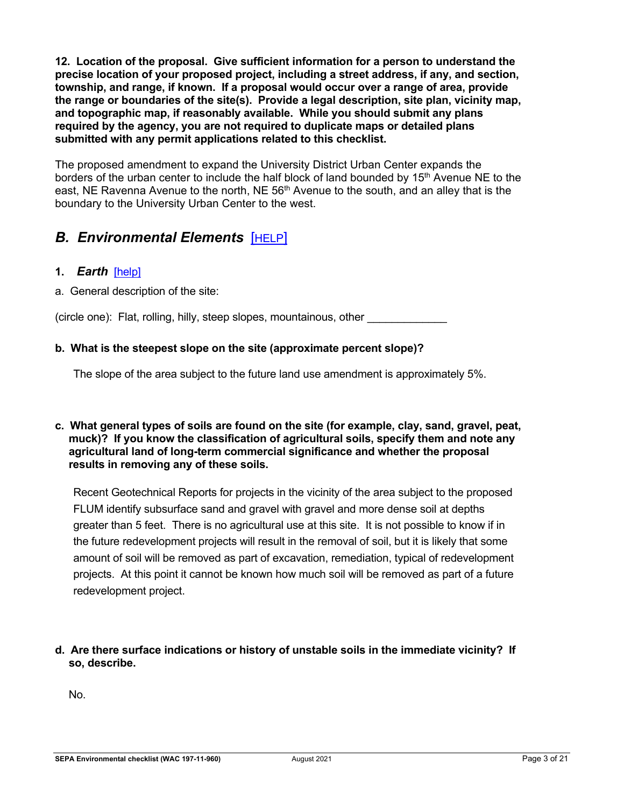**12. Location of the proposal. Give sufficient information for a person to understand the precise location of your proposed project, including a street address, if any, and section, township, and range, if known. If a proposal would occur over a range of area, provide the range or boundaries of the site(s). Provide a legal description, site plan, vicinity map, and topographic map, if reasonably available. While you should submit any plans required by the agency, you are not required to duplicate maps or detailed plans submitted with any permit applications related to this checklist.**

The proposed amendment to expand the University District Urban Center expands the borders of the urban center to include the half block of land bounded by 15<sup>th</sup> Avenue NE to the east, NE Ravenna Avenue to the north, NE 56<sup>th</sup> Avenue to the south, and an alley that is the boundary to the University Urban Center to the west.

## *B. Environmental Elements* [\[HELP\]](https://ecology.wa.gov/Regulations-Permits/SEPA/Environmental-review/SEPA-guidance/SEPA-checklist-guidance/SEPA-Checklist-Section-B-Environmental-elements)

## **1.** *Earth*[\[help\]](https://ecology.wa.gov/Regulations-Permits/SEPA/Environmental-review/SEPA-guidance/SEPA-checklist-guidance/SEPA-Checklist-Section-B-Environmental-elements/Environmental-elements-Earth)

a. General description of the site:

(circle one): Flat, rolling, hilly, steep slopes, mountainous, other \_\_\_\_\_\_\_\_\_\_\_\_\_

## **b. What is the steepest slope on the site (approximate percent slope)?**

The slope of the area subject to the future land use amendment is approximately 5%.

#### **c. What general types of soils are found on the site (for example, clay, sand, gravel, peat, muck)? If you know the classification of agricultural soils, specify them and note any agricultural land of long-term commercial significance and whether the proposal results in removing any of these soils.**

Recent Geotechnical Reports for projects in the vicinity of the area subject to the proposed FLUM identify subsurface sand and gravel with gravel and more dense soil at depths greater than 5 feet. There is no agricultural use at this site. It is not possible to know if in the future redevelopment projects will result in the removal of soil, but it is likely that some amount of soil will be removed as part of excavation, remediation, typical of redevelopment projects. At this point it cannot be known how much soil will be removed as part of a future redevelopment project.

**d. Are there surface indications or history of unstable soils in the immediate vicinity? If so, describe.**

No.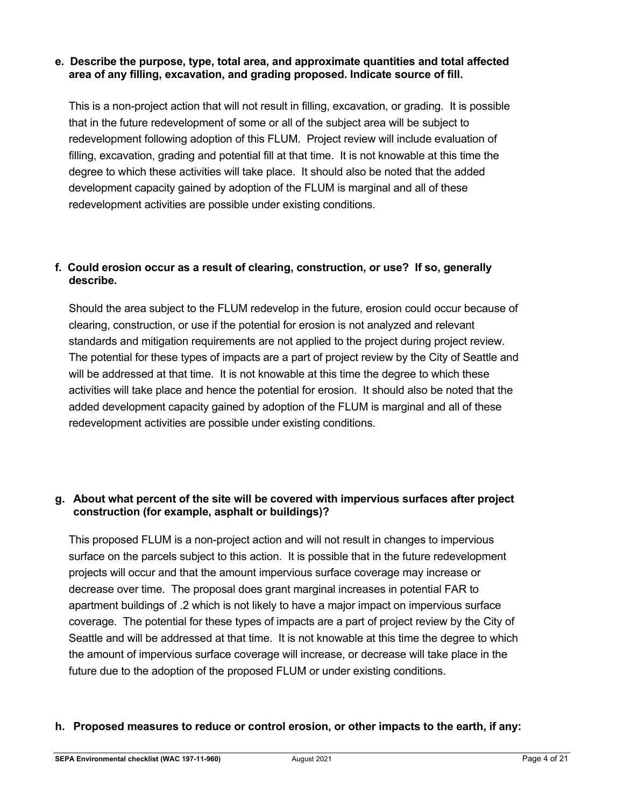### **e. Describe the purpose, type, total area, and approximate quantities and total affected area of any filling, excavation, and grading proposed. Indicate source of fill.**

This is a non-project action that will not result in filling, excavation, or grading. It is possible that in the future redevelopment of some or all of the subject area will be subject to redevelopment following adoption of this FLUM. Project review will include evaluation of filling, excavation, grading and potential fill at that time. It is not knowable at this time the degree to which these activities will take place. It should also be noted that the added development capacity gained by adoption of the FLUM is marginal and all of these redevelopment activities are possible under existing conditions.

## **f. Could erosion occur as a result of clearing, construction, or use? If so, generally describe.**

Should the area subject to the FLUM redevelop in the future, erosion could occur because of clearing, construction, or use if the potential for erosion is not analyzed and relevant standards and mitigation requirements are not applied to the project during project review. The potential for these types of impacts are a part of project review by the City of Seattle and will be addressed at that time. It is not knowable at this time the degree to which these activities will take place and hence the potential for erosion. It should also be noted that the added development capacity gained by adoption of the FLUM is marginal and all of these redevelopment activities are possible under existing conditions.

## **g. About what percent of the site will be covered with impervious surfaces after project construction (for example, asphalt or buildings)?**

This proposed FLUM is a non-project action and will not result in changes to impervious surface on the parcels subject to this action. It is possible that in the future redevelopment projects will occur and that the amount impervious surface coverage may increase or decrease over time. The proposal does grant marginal increases in potential FAR to apartment buildings of .2 which is not likely to have a major impact on impervious surface coverage. The potential for these types of impacts are a part of project review by the City of Seattle and will be addressed at that time. It is not knowable at this time the degree to which the amount of impervious surface coverage will increase, or decrease will take place in the future due to the adoption of the proposed FLUM or under existing conditions.

## **h. Proposed measures to reduce or control erosion, or other impacts to the earth, if any:**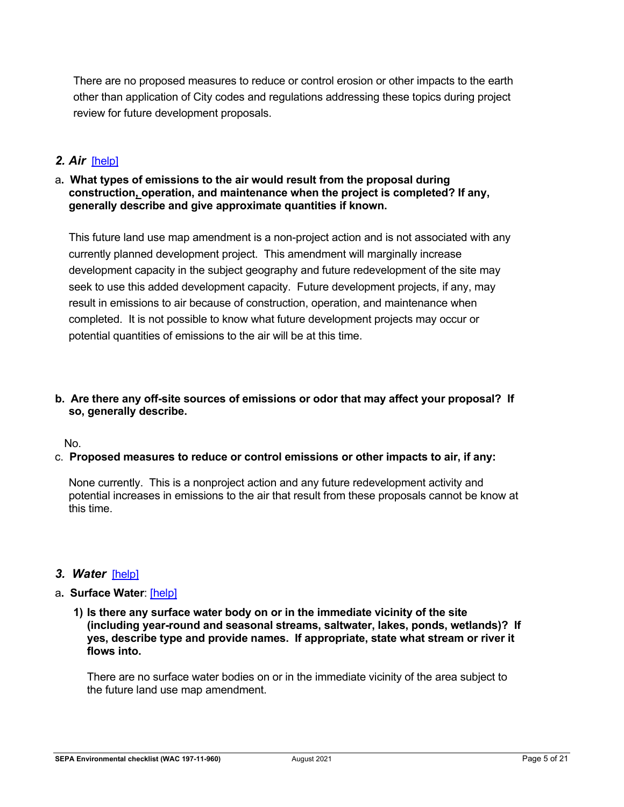There are no proposed measures to reduce or control erosion or other impacts to the earth other than application of City codes and regulations addressing these topics during project review for future development proposals.

## *2. Air*[\[help\]](https://ecology.wa.gov/Regulations-Permits/SEPA/Environmental-review/SEPA-guidance/SEPA-checklist-guidance/SEPA-Checklist-Section-B-Environmental-elements/Environmental-elements-Air)

#### a**. What types of emissions to the air would result from the proposal during construction, operation, and maintenance when the project is completed? If any, generally describe and give approximate quantities if known.**

This future land use map amendment is a non-project action and is not associated with any currently planned development project. This amendment will marginally increase development capacity in the subject geography and future redevelopment of the site may seek to use this added development capacity. Future development projects, if any, may result in emissions to air because of construction, operation, and maintenance when completed. It is not possible to know what future development projects may occur or potential quantities of emissions to the air will be at this time.

#### **b. Are there any off-site sources of emissions or odor that may affect your proposal? If so, generally describe.**

No.

## c. **Proposed measures to reduce or control emissions or other impacts to air, if any:**

None currently. This is a nonproject action and any future redevelopment activity and potential increases in emissions to the air that result from these proposals cannot be know at this time.

## *3. Water*[\[help\]](https://ecology.wa.gov/Regulations-Permits/SEPA/Environmental-review/SEPA-guidance/SEPA-checklist-guidance/SEPA-Checklist-Section-B-Environmental-elements/Environmental-elements-3-Water)

#### a**. Surface Water**: [\[help\]](https://ecology.wa.gov/Regulations-Permits/SEPA/Environmental-review/SEPA-guidance/SEPA-checklist-guidance/SEPA-Checklist-Section-B-Environmental-elements/Environmental-elements-3-Water/Environmental-elements-Surface-water)

**1) Is there any surface water body on or in the immediate vicinity of the site (including year-round and seasonal streams, saltwater, lakes, ponds, wetlands)? If yes, describe type and provide names. If appropriate, state what stream or river it flows into.**

There are no surface water bodies on or in the immediate vicinity of the area subject to the future land use map amendment.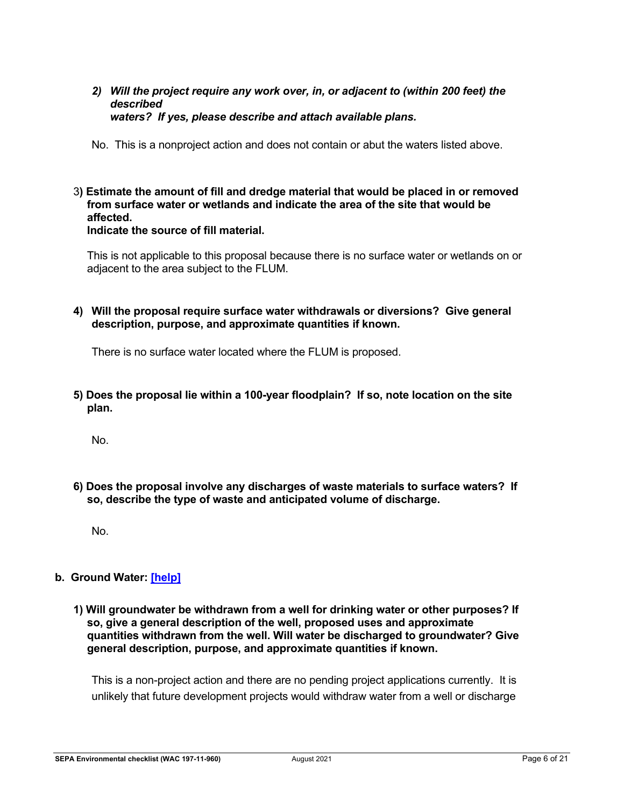*2) Will the project require any work over, in, or adjacent to (within 200 feet) the described waters? If yes, please describe and attach available plans.*

No. This is a nonproject action and does not contain or abut the waters listed above.

3**) Estimate the amount of fill and dredge material that would be placed in or removed from surface water or wetlands and indicate the area of the site that would be affected. Indicate the source of fill material.**

This is not applicable to this proposal because there is no surface water or wetlands on or adjacent to the area subject to the FLUM.

**4) Will the proposal require surface water withdrawals or diversions? Give general description, purpose, and approximate quantities if known.**

There is no surface water located where the FLUM is proposed.

**5) Does the proposal lie within a 100-year floodplain? If so, note location on the site plan.**

No.

**6) Does the proposal involve any discharges of waste materials to surface waters? If so, describe the type of waste and anticipated volume of discharge.**

No.

## **b. Ground Water: [\[help\]](https://ecology.wa.gov/Regulations-Permits/SEPA/Environmental-review/SEPA-guidance/SEPA-checklist-guidance/SEPA-Checklist-Section-B-Environmental-elements/Environmental-elements-3-Water/Environmental-elements-Groundwater)**

**1) Will groundwater be withdrawn from a well for drinking water or other purposes? If so, give a general description of the well, proposed uses and approximate quantities withdrawn from the well. Will water be discharged to groundwater? Give general description, purpose, and approximate quantities if known.**

This is a non-project action and there are no pending project applications currently. It is unlikely that future development projects would withdraw water from a well or discharge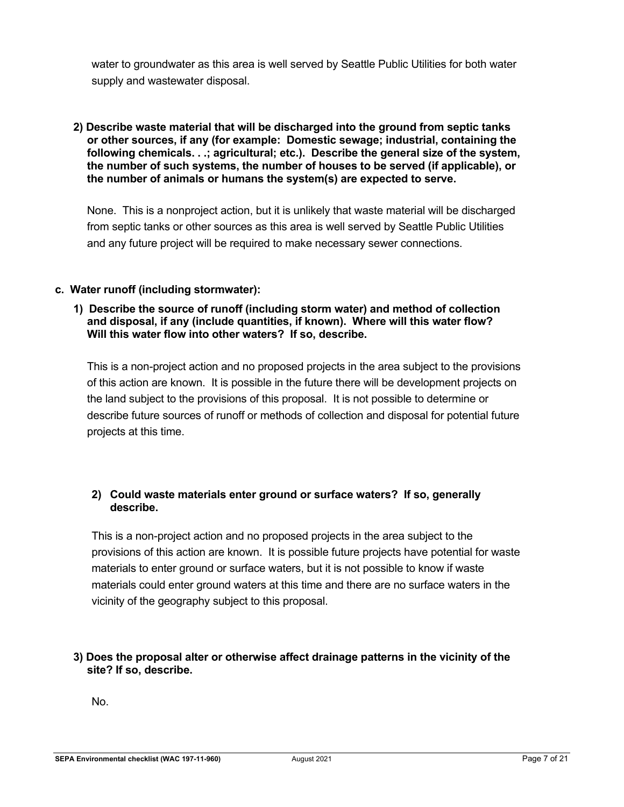water to groundwater as this area is well served by Seattle Public Utilities for both water supply and wastewater disposal.

**2) Describe waste material that will be discharged into the ground from septic tanks or other sources, if any (for example: Domestic sewage; industrial, containing the following chemicals. . .; agricultural; etc.). Describe the general size of the system, the number of such systems, the number of houses to be served (if applicable), or the number of animals or humans the system(s) are expected to serve.**

None. This is a nonproject action, but it is unlikely that waste material will be discharged from septic tanks or other sources as this area is well served by Seattle Public Utilities and any future project will be required to make necessary sewer connections.

## **c. Water runoff (including stormwater):**

#### **1) Describe the source of runoff (including storm water) and method of collection and disposal, if any (include quantities, if known). Where will this water flow? Will this water flow into other waters? If so, describe.**

This is a non-project action and no proposed projects in the area subject to the provisions of this action are known. It is possible in the future there will be development projects on the land subject to the provisions of this proposal. It is not possible to determine or describe future sources of runoff or methods of collection and disposal for potential future projects at this time.

## **2) Could waste materials enter ground or surface waters? If so, generally describe.**

This is a non-project action and no proposed projects in the area subject to the provisions of this action are known. It is possible future projects have potential for waste materials to enter ground or surface waters, but it is not possible to know if waste materials could enter ground waters at this time and there are no surface waters in the vicinity of the geography subject to this proposal.

## **3) Does the proposal alter or otherwise affect drainage patterns in the vicinity of the site? If so, describe.**

No.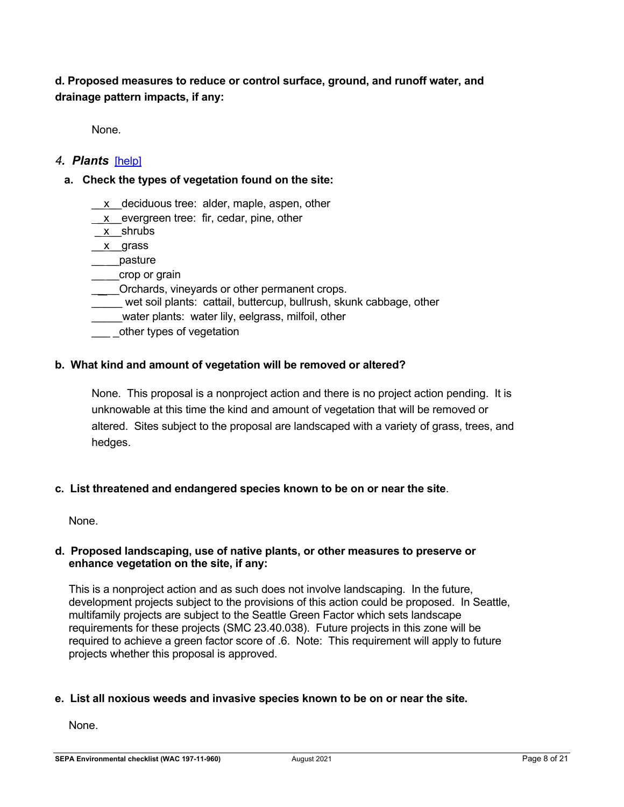## **d. Proposed measures to reduce or control surface, ground, and runoff water, and drainage pattern impacts, if any:**

None.

## *4. Plants* [\[help\]](https://ecology.wa.gov/Regulations-Permits/SEPA/Environmental-review/SEPA-guidance/SEPA-checklist-guidance/SEPA-Checklist-Section-B-Environmental-elements/Environmental-elements-4-Plants)

## **a. Check the types of vegetation found on the site:**

- \_\_x\_\_deciduous tree: alder, maple, aspen, other
- \_x\_\_evergreen tree: fir, cedar, pine, other
- \_ x\_\_shrubs
- x<sub>y</sub> grass
- pasture
- crop or grain
- Orchards, vineyards or other permanent crops.
- wet soil plants: cattail, buttercup, bullrush, skunk cabbage, other
- water plants: water lily, eelgrass, milfoil, other
- other types of vegetation

#### **b. What kind and amount of vegetation will be removed or altered?**

None. This proposal is a nonproject action and there is no project action pending. It is unknowable at this time the kind and amount of vegetation that will be removed or altered. Sites subject to the proposal are landscaped with a variety of grass, trees, and hedges.

#### **c. List threatened and endangered species known to be on or near the site**.

None.

#### **d. Proposed landscaping, use of native plants, or other measures to preserve or enhance vegetation on the site, if any:**

This is a nonproject action and as such does not involve landscaping. In the future, development projects subject to the provisions of this action could be proposed. In Seattle, multifamily projects are subject to the Seattle Green Factor which sets landscape requirements for these projects (SMC 23.40.038). Future projects in this zone will be required to achieve a green factor score of .6. Note: This requirement will apply to future projects whether this proposal is approved.

#### **e. List all noxious weeds and invasive species known to be on or near the site.**

None.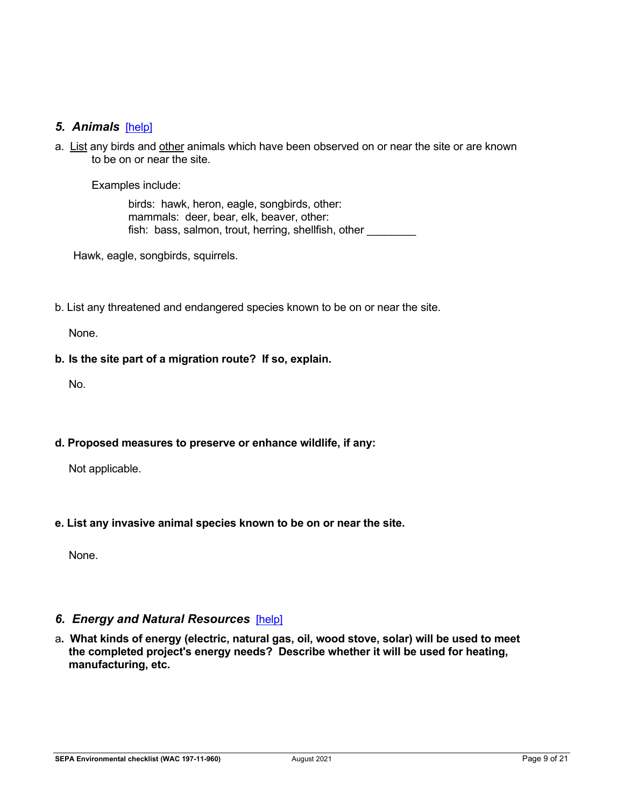## *5. Animals*[\[help\]](https://ecology.wa.gov/Regulations-Permits/SEPA/Environmental-review/SEPA-guidance/SEPA-checklist-guidance/SEPA-Checklist-Section-B-Environmental-elements/Environmental-elements-5-Animals)

a. List any birds and other animals which have been observed on or near the site or are known to be on or near the site.

Examples include:

birds: hawk, heron, eagle, songbirds, other: mammals: deer, bear, elk, beaver, other: fish: bass, salmon, trout, herring, shellfish, other

Hawk, eagle, songbirds, squirrels.

b. List any threatened and endangered species known to be on or near the site.

None.

### **b. Is the site part of a migration route? If so, explain.**

No.

**d. Proposed measures to preserve or enhance wildlife, if any:** 

Not applicable.

**e. List any invasive animal species known to be on or near the site.**

None.

## *6. Energy and Natural Resources*[\[help\]](https://ecology.wa.gov/Regulations-Permits/SEPA/Environmental-review/SEPA-guidance/SEPA-checklist-guidance/SEPA-Checklist-Section-B-Environmental-elements/Environmental-elements-6-Energy-natural-resou)

a**. What kinds of energy (electric, natural gas, oil, wood stove, solar) will be used to meet the completed project's energy needs? Describe whether it will be used for heating, manufacturing, etc.**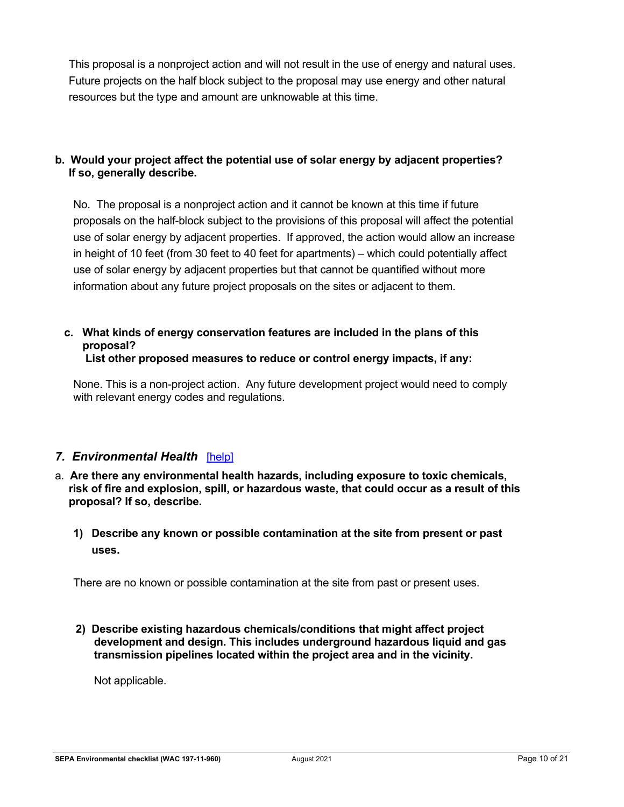This proposal is a nonproject action and will not result in the use of energy and natural uses. Future projects on the half block subject to the proposal may use energy and other natural resources but the type and amount are unknowable at this time.

## **b. Would your project affect the potential use of solar energy by adjacent properties? If so, generally describe.**

No. The proposal is a nonproject action and it cannot be known at this time if future proposals on the half-block subject to the provisions of this proposal will affect the potential use of solar energy by adjacent properties. If approved, the action would allow an increase in height of 10 feet (from 30 feet to 40 feet for apartments) – which could potentially affect use of solar energy by adjacent properties but that cannot be quantified without more information about any future project proposals on the sites or adjacent to them.

## **c. What kinds of energy conservation features are included in the plans of this proposal?**

**List other proposed measures to reduce or control energy impacts, if any:**

None. This is a non-project action. Any future development project would need to comply with relevant energy codes and regulations.

## *7. Environmental Health*[\[help\]](https://ecology.wa.gov/Regulations-Permits/SEPA/Environmental-review/SEPA-guidance/SEPA-checklist-guidance/SEPA-Checklist-Section-B-Environmental-elements/Environmental-elements-7-Environmental-health)

- a. **Are there any environmental health hazards, including exposure to toxic chemicals, risk of fire and explosion, spill, or hazardous waste, that could occur as a result of this proposal? If so, describe.**
	- **1) Describe any known or possible contamination at the site from present or past uses.**

There are no known or possible contamination at the site from past or present uses.

**2) Describe existing hazardous chemicals/conditions that might affect project development and design. This includes underground hazardous liquid and gas transmission pipelines located within the project area and in the vicinity.**

Not applicable.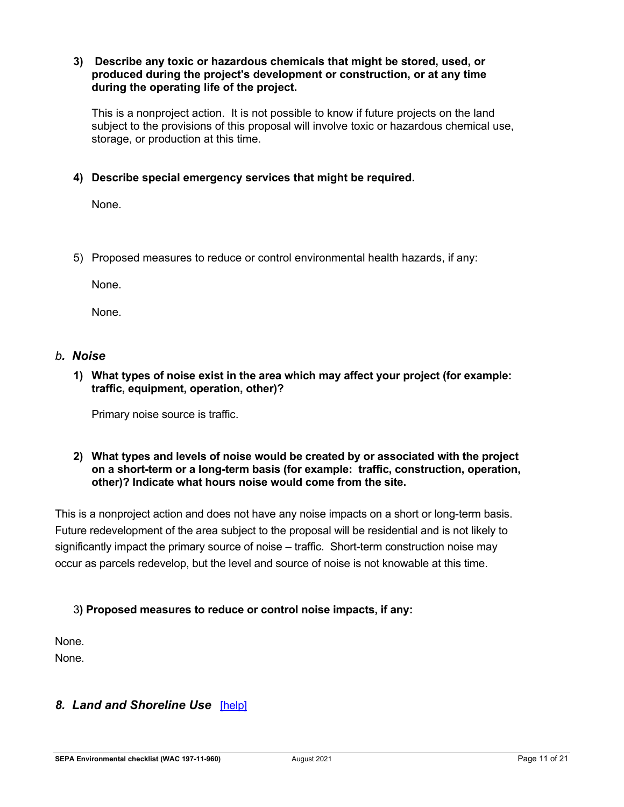#### **3) Describe any toxic or hazardous chemicals that might be stored, used, or produced during the project's development or construction, or at any time during the operating life of the project.**

This is a nonproject action. It is not possible to know if future projects on the land subject to the provisions of this proposal will involve toxic or hazardous chemical use, storage, or production at this time.

## **4) Describe special emergency services that might be required.**

None.

5) Proposed measures to reduce or control environmental health hazards, if any:

None.

None.

#### *b. Noise*

**1) What types of noise exist in the area which may affect your project (for example: traffic, equipment, operation, other)?**

Primary noise source is traffic.

#### **2) What types and levels of noise would be created by or associated with the project on a short-term or a long-term basis (for example: traffic, construction, operation, other)? Indicate what hours noise would come from the site.**

This is a nonproject action and does not have any noise impacts on a short or long-term basis. Future redevelopment of the area subject to the proposal will be residential and is not likely to significantly impact the primary source of noise – traffic. Short-term construction noise may occur as parcels redevelop, but the level and source of noise is not knowable at this time.

## 3**) Proposed measures to reduce or control noise impacts, if any:**

None. None.

## *8. Land and Shoreline Use*[\[help\]](https://ecology.wa.gov/Regulations-Permits/SEPA/Environmental-review/SEPA-guidance/SEPA-checklist-guidance/SEPA-Checklist-Section-B-Environmental-elements/Environmental-elements-8-Land-shoreline-use)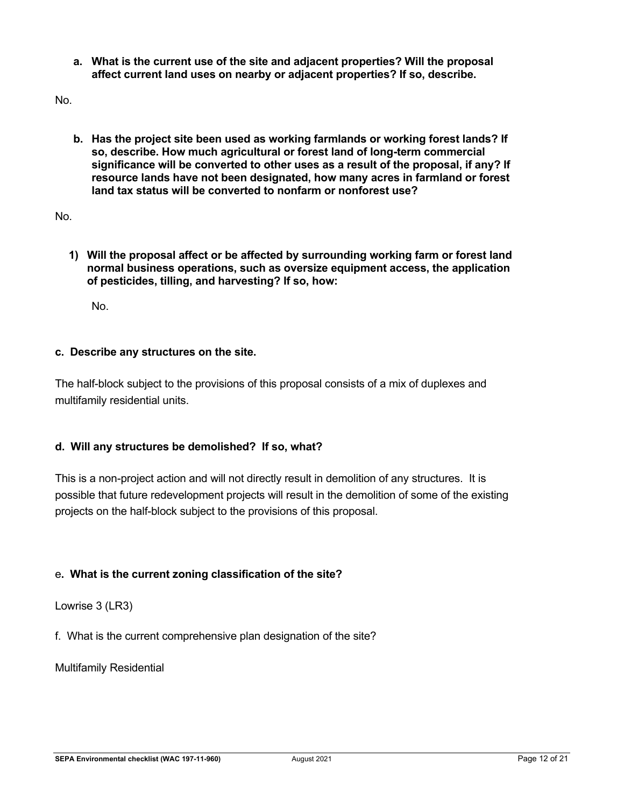**a. What is the current use of the site and adjacent properties? Will the proposal affect current land uses on nearby or adjacent properties? If so, describe.**

No.

**b. Has the project site been used as working farmlands or working forest lands? If so, describe. How much agricultural or forest land of long-term commercial significance will be converted to other uses as a result of the proposal, if any? If resource lands have not been designated, how many acres in farmland or forest land tax status will be converted to nonfarm or nonforest use?**

No.

**1) Will the proposal affect or be affected by surrounding working farm or forest land normal business operations, such as oversize equipment access, the application of pesticides, tilling, and harvesting? If so, how:**

No.

#### **c. Describe any structures on the site.**

The half-block subject to the provisions of this proposal consists of a mix of duplexes and multifamily residential units.

#### **d. Will any structures be demolished? If so, what?**

This is a non-project action and will not directly result in demolition of any structures. It is possible that future redevelopment projects will result in the demolition of some of the existing projects on the half-block subject to the provisions of this proposal.

## e**. What is the current zoning classification of the site?**

Lowrise 3 (LR3)

f. What is the current comprehensive plan designation of the site?

Multifamily Residential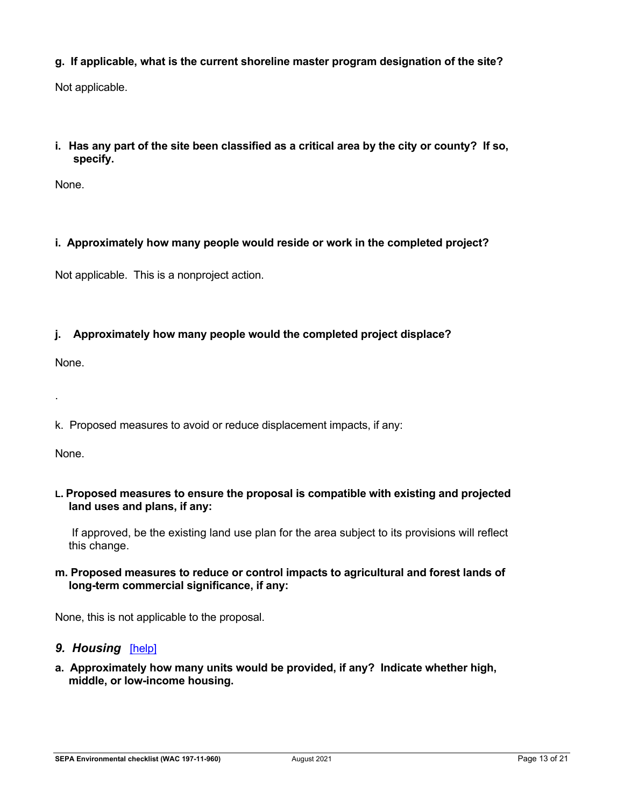## **g. If applicable, what is the current shoreline master program designation of the site?**

Not applicable.

## **i. Has any part of the site been classified as a critical area by the city or county? If so, specify.**

None.

## **i. Approximately how many people would reside or work in the completed project?**

Not applicable. This is a nonproject action.

## **j. Approximately how many people would the completed project displace?**

None.

.

k. Proposed measures to avoid or reduce displacement impacts, if any:

None.

#### **L. Proposed measures to ensure the proposal is compatible with existing and projected land uses and plans, if any:**

If approved, be the existing land use plan for the area subject to its provisions will reflect this change.

## **m. Proposed measures to reduce or control impacts to agricultural and forest lands of long-term commercial significance, if any:**

None, this is not applicable to the proposal.

## **9. Housing** [\[help\]](https://ecology.wa.gov/Regulations-Permits/SEPA/Environmental-review/SEPA-guidance/SEPA-checklist-guidance/SEPA-Checklist-Section-B-Environmental-elements/Environmental-elements-9-Housing)

**a. Approximately how many units would be provided, if any? Indicate whether high, middle, or low-income housing.**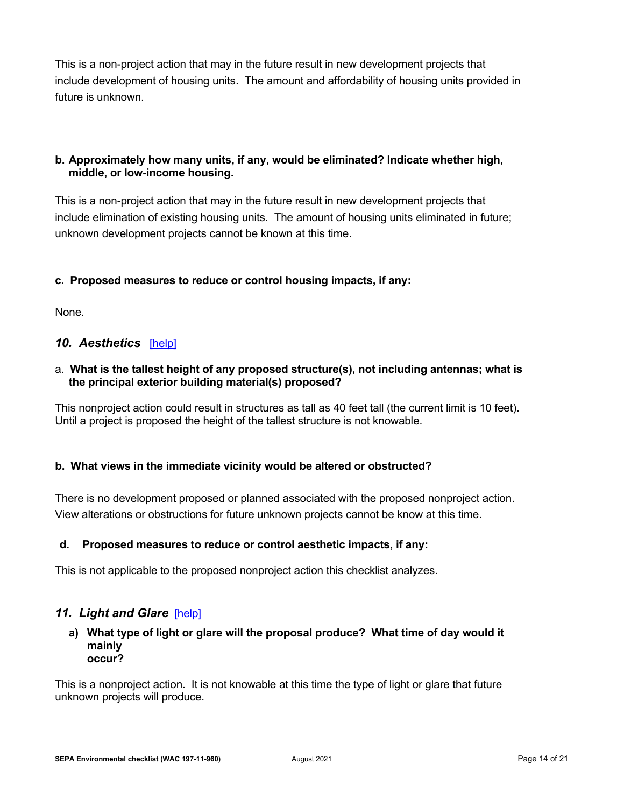This is a non-project action that may in the future result in new development projects that include development of housing units. The amount and affordability of housing units provided in future is unknown.

## **b. Approximately how many units, if any, would be eliminated? Indicate whether high, middle, or low-income housing.**

This is a non-project action that may in the future result in new development projects that include elimination of existing housing units. The amount of housing units eliminated in future; unknown development projects cannot be known at this time.

## **c. Proposed measures to reduce or control housing impacts, if any:**

None.

## *10. Aesthetics*[\[help\]](https://ecology.wa.gov/Regulations-Permits/SEPA/Environmental-review/SEPA-guidance/SEPA-checklist-guidance/SEPA-Checklist-Section-B-Environmental-elements/Environmental-elements-10-Aesthetics)

### a. **What is the tallest height of any proposed structure(s), not including antennas; what is the principal exterior building material(s) proposed?**

This nonproject action could result in structures as tall as 40 feet tall (the current limit is 10 feet). Until a project is proposed the height of the tallest structure is not knowable.

## **b. What views in the immediate vicinity would be altered or obstructed?**

There is no development proposed or planned associated with the proposed nonproject action. View alterations or obstructions for future unknown projects cannot be know at this time.

## **d. Proposed measures to reduce or control aesthetic impacts, if any:**

This is not applicable to the proposed nonproject action this checklist analyzes.

## 11. Light and Glare [\[help\]](https://ecology.wa.gov/Regulations-Permits/SEPA/Environmental-review/SEPA-guidance/SEPA-checklist-guidance/SEPA-Checklist-Section-B-Environmental-elements/Environmental-elements-11-Light-glare)

#### **a) What type of light or glare will the proposal produce? What time of day would it mainly occur?**

This is a nonproject action. It is not knowable at this time the type of light or glare that future unknown projects will produce.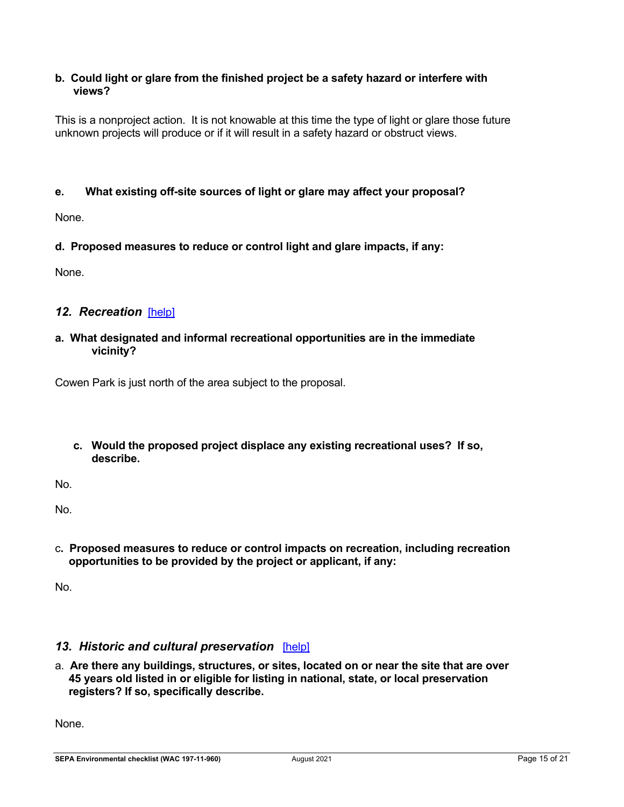## **b. Could light or glare from the finished project be a safety hazard or interfere with views?**

This is a nonproject action. It is not knowable at this time the type of light or glare those future unknown projects will produce or if it will result in a safety hazard or obstruct views.

## **e. What existing off-site sources of light or glare may affect your proposal?**

None.

**d. Proposed measures to reduce or control light and glare impacts, if any:**

None.

## *12. Recreation*[\[help\]](https://ecology.wa.gov/Regulations-Permits/SEPA/Environmental-review/SEPA-guidance/SEPA-checklist-guidance/SEPA-Checklist-Section-B-Environmental-elements/Environmental-elements-12-Recreation)

### **a. What designated and informal recreational opportunities are in the immediate vicinity?**

Cowen Park is just north of the area subject to the proposal.

**c. Would the proposed project displace any existing recreational uses? If so, describe.**

No.

No.

c**. Proposed measures to reduce or control impacts on recreation, including recreation opportunities to be provided by the project or applicant, if any:**

No.

## *13. Historic and cultural preservation*[\[help\]](https://ecology.wa.gov/Regulations-Permits/SEPA/Environmental-review/SEPA-guidance/SEPA-checklist-guidance/SEPA-Checklist-Section-B-Environmental-elements/Environmental-elements-13-Historic-cultural-p)

a. **Are there any buildings, structures, or sites, located on or near the site that are over 45 years old listed in or eligible for listing in national, state, or local preservation registers? If so, specifically describe.**

None.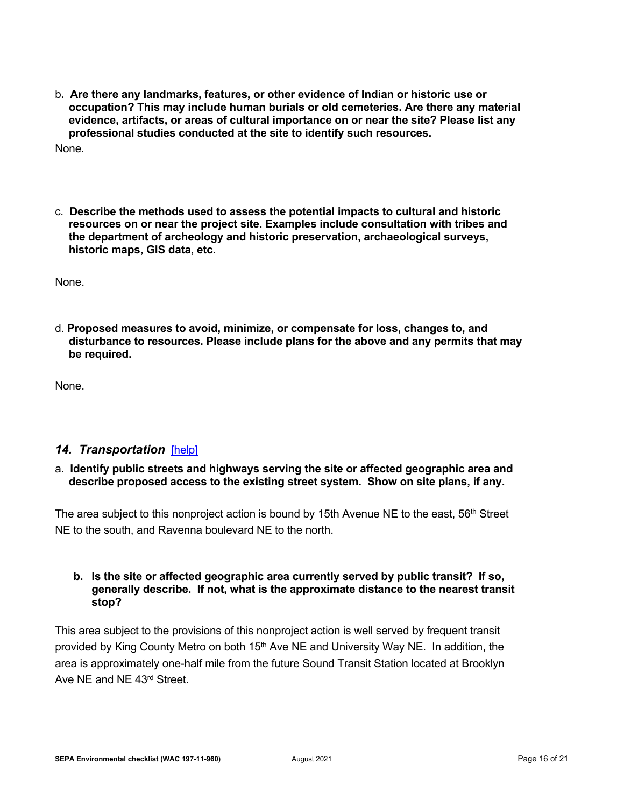- b**. Are there any landmarks, features, or other evidence of Indian or historic use or occupation? This may include human burials or old cemeteries. Are there any material evidence, artifacts, or areas of cultural importance on or near the site? Please list any professional studies conducted at the site to identify such resources.** None.
- c. **Describe the methods used to assess the potential impacts to cultural and historic resources on or near the project site. Examples include consultation with tribes and the department of archeology and historic preservation, archaeological surveys, historic maps, GIS data, etc.**

None.

d. **Proposed measures to avoid, minimize, or compensate for loss, changes to, and disturbance to resources. Please include plans for the above and any permits that may be required.**

None.

## *14. Transportation*[\[help\]](https://ecology.wa.gov/Regulations-Permits/SEPA/Environmental-review/SEPA-guidance/SEPA-checklist-guidance/SEPA-Checklist-Section-B-Environmental-elements/Environmental-elements-14-Transportation)

#### a. **Identify public streets and highways serving the site or affected geographic area and describe proposed access to the existing street system. Show on site plans, if any.**

The area subject to this nonproject action is bound by 15th Avenue NE to the east,  $56<sup>th</sup>$  Street NE to the south, and Ravenna boulevard NE to the north.

#### **b. Is the site or affected geographic area currently served by public transit? If so, generally describe. If not, what is the approximate distance to the nearest transit stop?**

This area subject to the provisions of this nonproject action is well served by frequent transit provided by King County Metro on both 15<sup>th</sup> Ave NE and University Way NE. In addition, the area is approximately one-half mile from the future Sound Transit Station located at Brooklyn Ave NE and NE 43rd Street.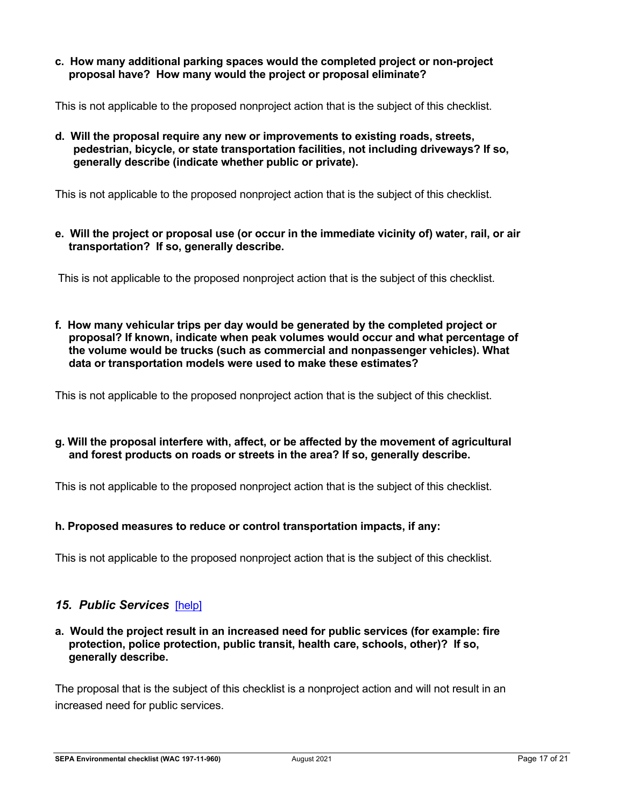**c. How many additional parking spaces would the completed project or non-project proposal have? How many would the project or proposal eliminate?**

This is not applicable to the proposed nonproject action that is the subject of this checklist.

**d. Will the proposal require any new or improvements to existing roads, streets, pedestrian, bicycle, or state transportation facilities, not including driveways? If so, generally describe (indicate whether public or private).**

This is not applicable to the proposed nonproject action that is the subject of this checklist.

**e. Will the project or proposal use (or occur [in](https://ecology.wa.gov/Regulations-Permits/SEPA/Environmental-review/SEPA-guidance/Checklist-guidance#14.%20Transportation) the immediate vicinity of) water, rail, or air transportation? If so, generally describe.**

This is not applicable to the proposed nonproject action that is the subject of this checklist.

**f. How many vehicular trips per day would be generated by the completed project or proposal? If known, indicate when peak volumes would occur and what percentage of the volume would be trucks (such as commercial and nonpassenger vehicles). What data or transportation models were used to make these estimates?**

This is not applicable to the proposed nonproject action that is the subject of this checklist.

## **g. Will the proposal interfere with, affect, or be affected by the movement of agricultural and forest products on roads or streets in the area? If so, generally describe.**

This is not applicable to the proposed nonproject action that is the subject of this checklist.

## **h. Proposed measures to reduce or control transportation impacts, if any:**

This is not applicable to the proposed nonproject action that is the subject of this checklist.

## *15. Public Services*[\[help\]](https://ecology.wa.gov/Regulations-Permits/SEPA/Environmental-review/SEPA-guidance/SEPA-checklist-guidance/SEPA-Checklist-Section-B-Environmental-elements/Environmental-elements-15-Public-services)

#### **a. Would the project result in an increased need for public services (for example: fire protection, police protection, public transit, health care, schools, other)? If so, generally describe.**

The proposal that is the subject of this checklist is a nonproject action and will not result in an increased need for public services.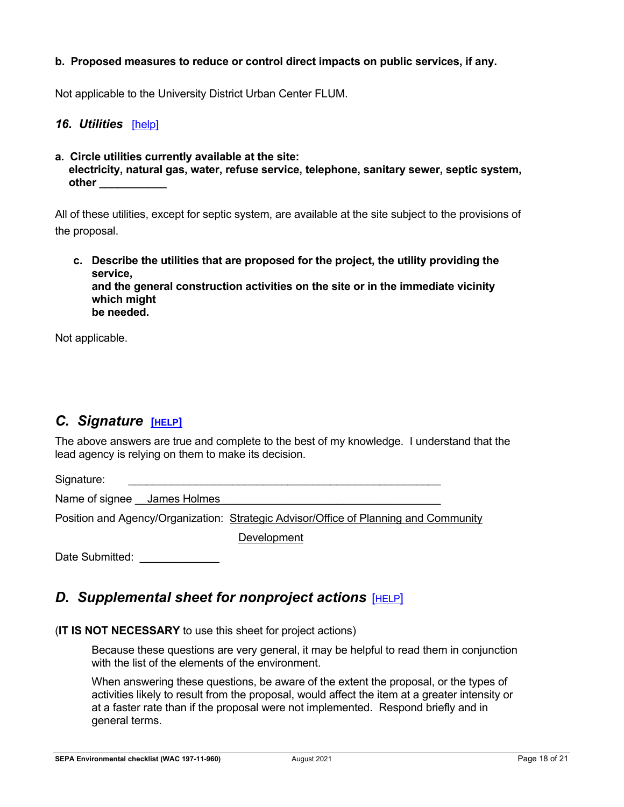### **b. Proposed measures to reduce or control direct impacts on public services, if any.**

Not applicable to the University District Urban Center FLUM.

#### *16. Utilities*[\[help\]](https://ecology.wa.gov/Regulations-Permits/SEPA/Environmental-review/SEPA-guidance/SEPA-checklist-guidance/SEPA-Checklist-Section-B-Environmental-elements/Environmental-elements-16-Utilities)

**a. Circle utilities currently available at the site: electricity, natural gas, water, refuse service, telephone, sanitary sewer, septic system, other \_\_\_\_\_\_\_\_\_\_\_**

All of these utilities, except for septic system, are available at the site subject to the provisions of the proposal.

**c. Describe the utilities that are proposed for the project, the utility providing the service, and the general construction activities on the site or in the immediate vicinity which might be needed.**

Not applicable.

## *C. Signature* **[\[HELP\]](https://ecology.wa.gov/Regulations-Permits/SEPA/Environmental-review/SEPA-guidance/SEPA-checklist-guidance/SEPA-Checklist-Section-C-Signature)**

The above answers are true and complete to the best of my knowledge. I understand that the lead agency is relying on them to make its decision.

Signature:

Name of signee **James Holmes** 

Position and Agency/Organization: Strategic Advisor/Office of Planning and Community

**Development** 

Date Submitted:

## <span id="page-17-0"></span>*D. Supplemental sheet for nonproject actions* [\[HELP\]](https://ecology.wa.gov/Regulations-Permits/SEPA/Environmental-review/SEPA-guidance/SEPA-checklist-guidance/SEPA-Checklist-Section-D-Non-project-actions)

#### (**IT IS NOT NECESSARY** to use this sheet for project actions)

Because these questions are very general, it may be helpful to read them in conjunction with the list of the elements of the environment.

When answering these questions, be aware of the extent the proposal, or the types of activities likely to result from the proposal, would affect the item at a greater intensity or at a faster rate than if the proposal were not implemented. Respond briefly and in general terms.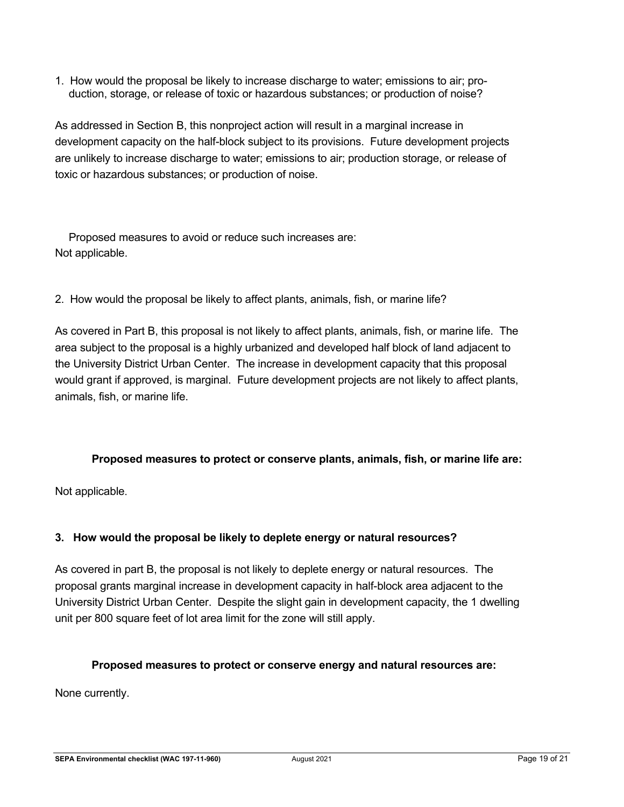1. How would the proposal be likely to increase discharge to water; emissions to air; production, storage, or release of toxic or hazardous substances; or production of noise?

As addressed in Section B, this nonproject action will result in a marginal increase in development capacity on the half-block subject to its provisions. Future development projects are unlikely to increase discharge to water; emissions to air; production storage, or release of toxic or hazardous substances; or production of noise.

Proposed measures to avoid or reduce such increases are: Not applicable.

2. How would the proposal be likely to affect plants, animals, fish, or marine life?

As covered in Part B, this proposal is not likely to affect plants, animals, fish, or marine life. The area subject to the proposal is a highly urbanized and developed half block of land adjacent to the University District Urban Center. The increase in development capacity that this proposal would grant if approved, is marginal. Future development projects are not likely to affect plants, animals, fish, or marine life.

## **Proposed measures to protect or conserve plants, animals, fish, or marine life are:**

Not applicable.

## **3. How would the proposal be likely to deplete energy or natural resources?**

As covered in part B, the proposal is not likely to deplete energy or natural resources. The proposal grants marginal increase in development capacity in half-block area adjacent to the University District Urban Center. Despite the slight gain in development capacity, the 1 dwelling unit per 800 square feet of lot area limit for the zone will still apply.

## **Proposed measures to protect or conserve energy and natural resources are:**

None currently.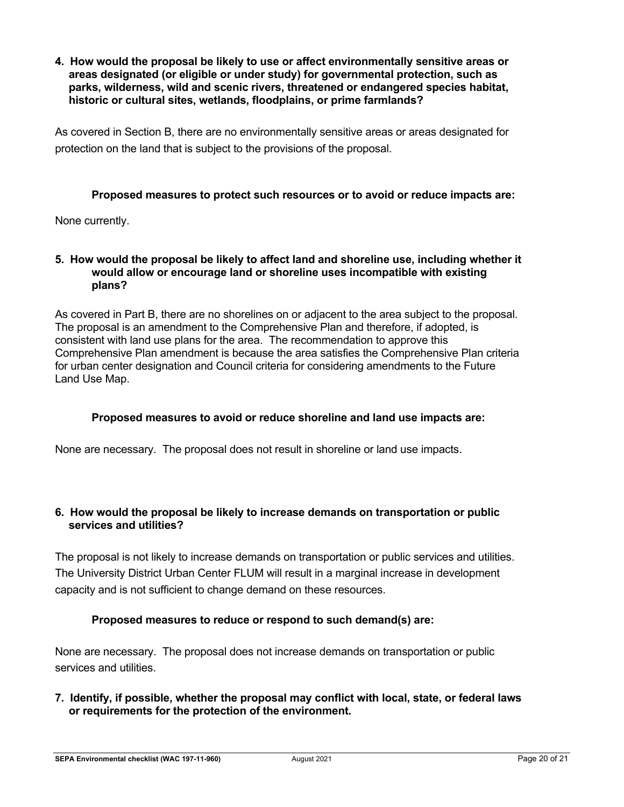**4. How would the proposal be likely to use or affect environmentally sensitive areas or areas designated (or eligible or under study) for governmental protection, such as parks, wilderness, wild and scenic rivers, threatened or endangered species habitat, historic or cultural sites, wetlands, floodplains, or prime farmlands?**

As covered in Section B, there are no environmentally sensitive areas or areas designated for protection on the land that is subject to the provisions of the proposal.

### **Proposed measures to protect such resources or to avoid or reduce impacts are:**

None currently.

#### **5. How would the proposal be likely to affect land and shoreline use, including whether it would allow or encourage land or shoreline uses incompatible with existing plans?**

As covered in Part B, there are no shorelines on or adjacent to the area subject to the proposal. The proposal is an amendment to the Comprehensive Plan and therefore, if adopted, is consistent with land use plans for the area. The recommendation to approve this Comprehensive Plan amendment is because the area satisfies the Comprehensive Plan criteria for urban center designation and Council criteria for considering amendments to the Future Land Use Map.

#### **Proposed measures to avoid or reduce shoreline and land use impacts are:**

None are necessary. The proposal does not result in shoreline or land use impacts.

## **6. How would the proposal be likely to increase demands on transportation or public services and utilities?**

The proposal is not likely to increase demands on transportation or public services and utilities. The University District Urban Center FLUM will result in a marginal increase in development capacity and is not sufficient to change demand on these resources.

## **Proposed measures to reduce or respond to such demand(s) are:**

None are necessary. The proposal does not increase demands on transportation or public services and utilities.

## **7. Identify, if possible, whether the proposal may conflict with local, state, or federal laws or requirements for the protection of the environment.**